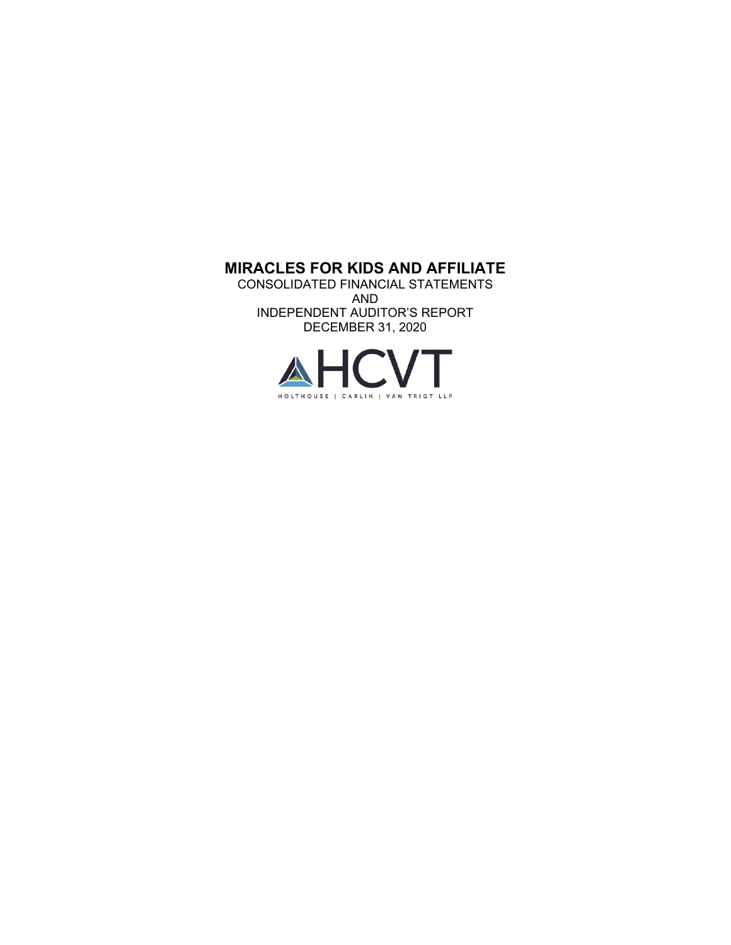# **MIRACLES FOR KIDS AND AFFILIATE**

CONSOLIDATED FINANCIAL STATEMENTS AND INDEPENDENT AUDITOR'S REPORT DECEMBER 31, 2020

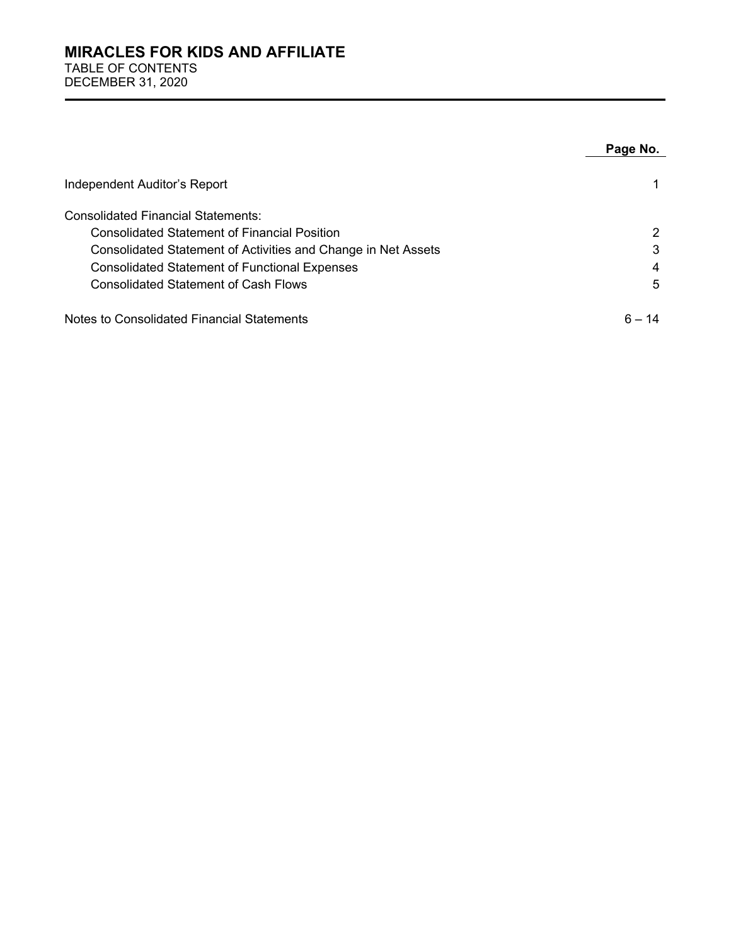|                                                               | Page No. |
|---------------------------------------------------------------|----------|
| Independent Auditor's Report                                  |          |
| Consolidated Financial Statements:                            |          |
| <b>Consolidated Statement of Financial Position</b>           | 2        |
| Consolidated Statement of Activities and Change in Net Assets | 3        |
| <b>Consolidated Statement of Functional Expenses</b>          | 4        |
| <b>Consolidated Statement of Cash Flows</b>                   | 5        |
| Notes to Consolidated Financial Statements                    | $6 - 14$ |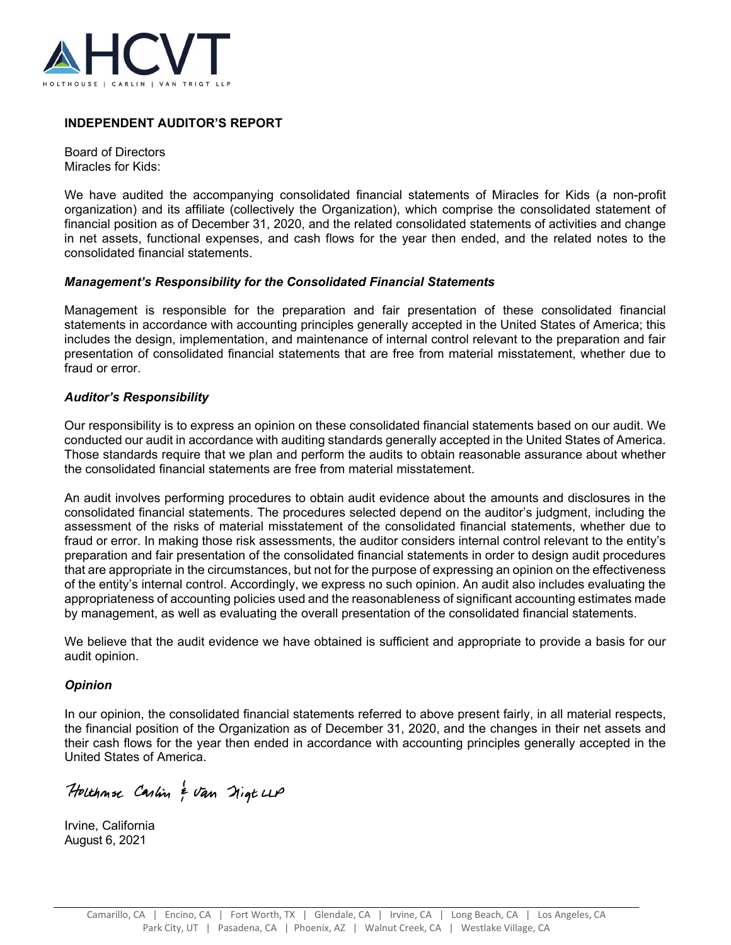

### **INDEPENDENT AUDITOR'S REPORT**

Board of Directors Miracles for Kids:

We have audited the accompanying consolidated financial statements of Miracles for Kids (a non-profit organization) and its affiliate (collectively the Organization), which comprise the consolidated statement of financial position as of December 31, 2020, and the related consolidated statements of activities and change in net assets, functional expenses, and cash flows for the year then ended, and the related notes to the consolidated financial statements.

#### *Management's Responsibility for the Consolidated Financial Statements*

Management is responsible for the preparation and fair presentation of these consolidated financial statements in accordance with accounting principles generally accepted in the United States of America; this includes the design, implementation, and maintenance of internal control relevant to the preparation and fair presentation of consolidated financial statements that are free from material misstatement, whether due to fraud or error.

#### *Auditor's Responsibility*

Our responsibility is to express an opinion on these consolidated financial statements based on our audit. We conducted our audit in accordance with auditing standards generally accepted in the United States of America. Those standards require that we plan and perform the audits to obtain reasonable assurance about whether the consolidated financial statements are free from material misstatement.

An audit involves performing procedures to obtain audit evidence about the amounts and disclosures in the consolidated financial statements. The procedures selected depend on the auditor's judgment, including the assessment of the risks of material misstatement of the consolidated financial statements, whether due to fraud or error. In making those risk assessments, the auditor considers internal control relevant to the entity's preparation and fair presentation of the consolidated financial statements in order to design audit procedures that are appropriate in the circumstances, but not for the purpose of expressing an opinion on the effectiveness of the entity's internal control. Accordingly, we express no such opinion. An audit also includes evaluating the appropriateness of accounting policies used and the reasonableness of significant accounting estimates made by management, as well as evaluating the overall presentation of the consolidated financial statements.

We believe that the audit evidence we have obtained is sufficient and appropriate to provide a basis for our audit opinion.

#### *Opinion*

In our opinion, the consolidated financial statements referred to above present fairly, in all material respects, the financial position of the Organization as of December 31, 2020, and the changes in their net assets and their cash flows for the year then ended in accordance with accounting principles generally accepted in the United States of America.

Holthmac Cashin & van Digt LLP

Irvine, California August 6, 2021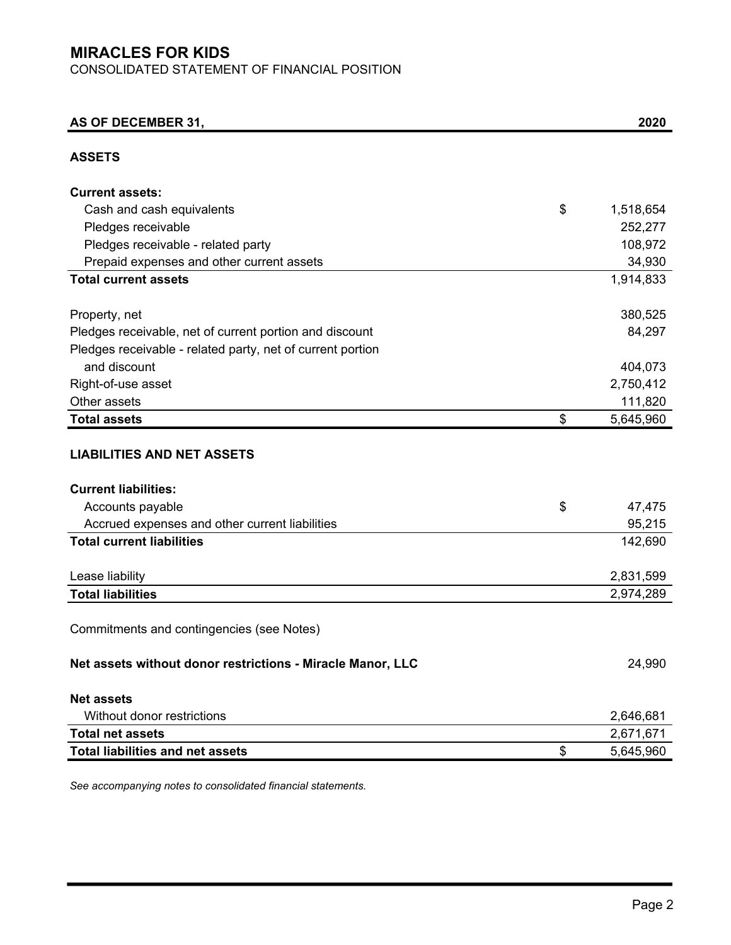CONSOLIDATED STATEMENT OF FINANCIAL POSITION

| AS OF DECEMBER 31,                                         | 2020            |
|------------------------------------------------------------|-----------------|
| <b>ASSETS</b>                                              |                 |
| <b>Current assets:</b>                                     |                 |
| Cash and cash equivalents                                  | \$<br>1,518,654 |
| Pledges receivable                                         | 252,277         |
| Pledges receivable - related party                         | 108,972         |
| Prepaid expenses and other current assets                  | 34,930          |
| <b>Total current assets</b>                                | 1,914,833       |
| Property, net                                              | 380,525         |
| Pledges receivable, net of current portion and discount    | 84,297          |
| Pledges receivable - related party, net of current portion |                 |
| and discount                                               | 404,073         |
| Right-of-use asset                                         | 2,750,412       |
| Other assets                                               | 111,820         |
| <b>Total assets</b>                                        | \$<br>5,645,960 |
| <b>LIABILITIES AND NET ASSETS</b>                          |                 |
| <b>Current liabilities:</b>                                |                 |
| Accounts payable                                           | \$<br>47,475    |
| Accrued expenses and other current liabilities             | 95,215          |
| <b>Total current liabilities</b>                           | 142,690         |
| Lease liability                                            | 2,831,599       |
| <b>Total liabilities</b>                                   | 2,974,289       |
| Commitments and contingencies (see Notes)                  |                 |
| Net assets without donor restrictions - Miracle Manor, LLC | 24,990          |
| <b>Net assets</b>                                          |                 |
| Without donor restrictions                                 | 2,646,681       |
| <b>Total net assets</b>                                    | 2,671,671       |
| <b>Total liabilities and net assets</b>                    | \$<br>5,645,960 |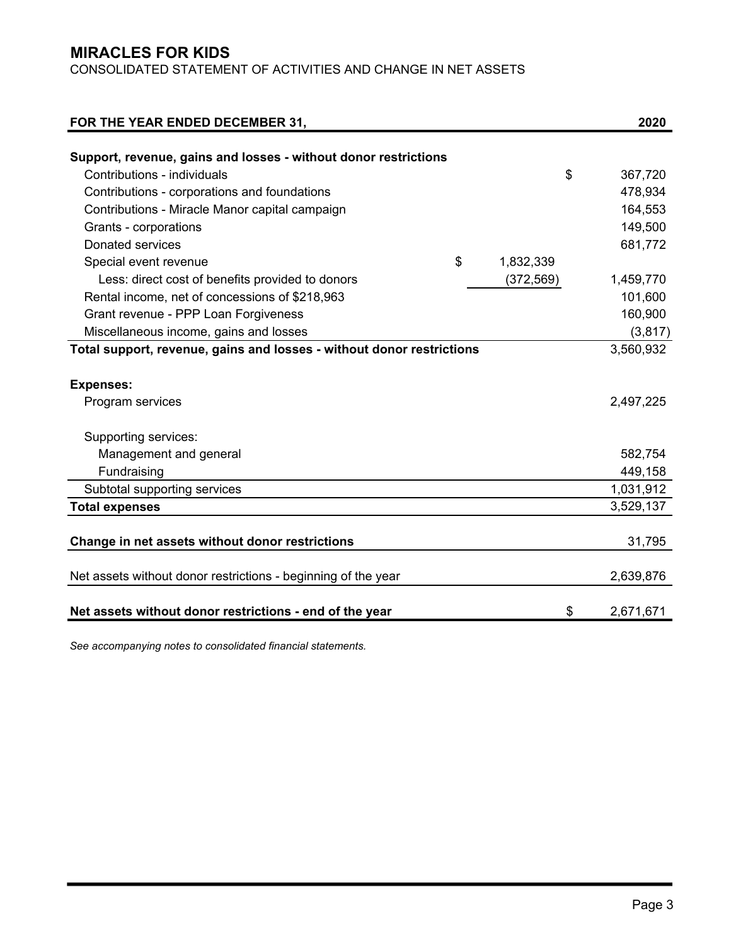CONSOLIDATED STATEMENT OF ACTIVITIES AND CHANGE IN NET ASSETS

| FOR THE YEAR ENDED DECEMBER 31,                                       |                 | 2020      |
|-----------------------------------------------------------------------|-----------------|-----------|
|                                                                       |                 |           |
| Support, revenue, gains and losses - without donor restrictions       |                 |           |
| Contributions - individuals                                           | \$              | 367,720   |
| Contributions - corporations and foundations                          |                 | 478,934   |
| Contributions - Miracle Manor capital campaign                        |                 | 164,553   |
| Grants - corporations                                                 |                 | 149,500   |
| <b>Donated services</b>                                               |                 | 681,772   |
| Special event revenue                                                 | \$<br>1,832,339 |           |
| Less: direct cost of benefits provided to donors                      | (372, 569)      | 1,459,770 |
| Rental income, net of concessions of \$218,963                        |                 | 101,600   |
| Grant revenue - PPP Loan Forgiveness                                  |                 | 160,900   |
| Miscellaneous income, gains and losses                                |                 | (3, 817)  |
| Total support, revenue, gains and losses - without donor restrictions |                 | 3,560,932 |
|                                                                       |                 |           |
| <b>Expenses:</b>                                                      |                 |           |
| Program services                                                      |                 | 2,497,225 |
| Supporting services:                                                  |                 |           |
| Management and general                                                |                 | 582,754   |
| Fundraising                                                           |                 | 449,158   |
| Subtotal supporting services                                          |                 | 1,031,912 |
| <b>Total expenses</b>                                                 |                 | 3,529,137 |
|                                                                       |                 |           |
| Change in net assets without donor restrictions                       |                 | 31,795    |
| Net assets without donor restrictions - beginning of the year         |                 | 2,639,876 |
|                                                                       |                 |           |
| Net assets without donor restrictions - end of the year               | \$              | 2,671,671 |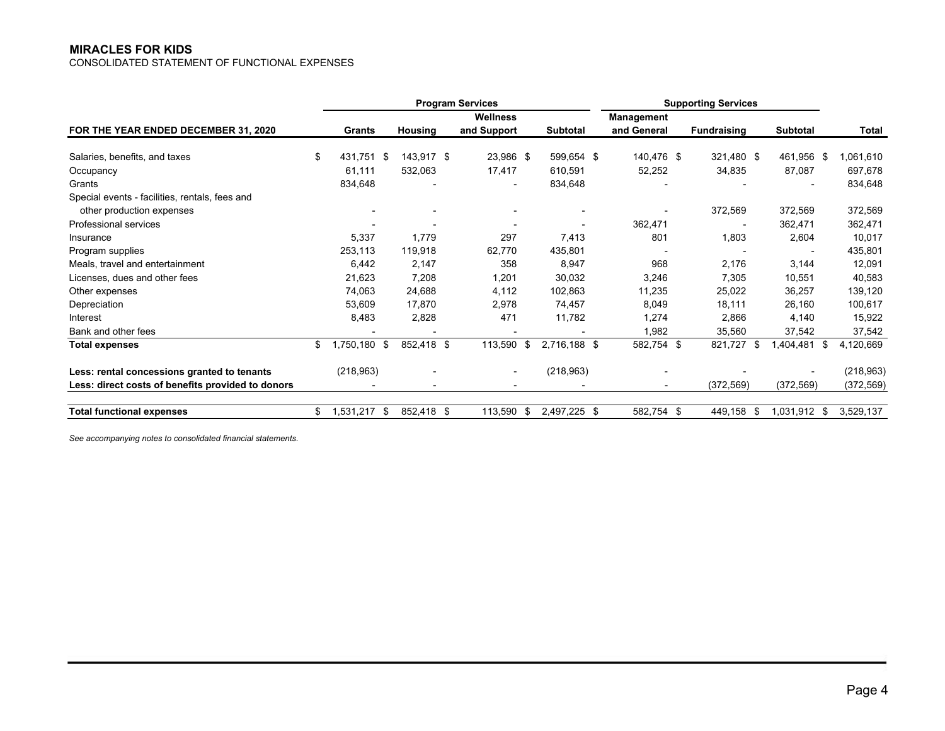CONSOLIDATED STATEMENT OF FUNCTIONAL EXPENSES

|                                                   |     |              |      |                | <b>Program Services</b> |                 |                   | <b>Supporting Services</b> |                 |                 |
|---------------------------------------------------|-----|--------------|------|----------------|-------------------------|-----------------|-------------------|----------------------------|-----------------|-----------------|
|                                                   |     |              |      |                | <b>Wellness</b>         |                 | <b>Management</b> |                            |                 |                 |
| FOR THE YEAR ENDED DECEMBER 31, 2020              |     | Grants       |      | Housina        | and Support             | <b>Subtotal</b> | and General       | <b>Fundraising</b>         | <b>Subtotal</b> | Total           |
| Salaries, benefits, and taxes                     | \$  | 431,751 \$   |      | 143,917 \$     | 23,986 \$               | 599,654 \$      | 140,476 \$        | 321,480 \$                 | 461,956 \$      | 1,061,610       |
| Occupancy                                         |     | 61.111       |      | 532,063        | 17,417                  | 610,591         | 52,252            | 34,835                     | 87,087          | 697,678         |
| Grants                                            |     | 834,648      |      |                |                         | 834,648         |                   |                            |                 | 834,648         |
| Special events - facilities, rentals, fees and    |     |              |      |                |                         |                 |                   |                            |                 |                 |
| other production expenses                         |     |              |      |                |                         |                 |                   | 372,569                    | 372,569         | 372,569         |
| Professional services                             |     |              |      |                |                         |                 | 362,471           |                            | 362,471         | 362,471         |
| Insurance                                         |     | 5,337        |      | 1,779          | 297                     | 7,413           | 801               | 1,803                      | 2,604           | 10,017          |
| Program supplies                                  |     | 253,113      |      | 119,918        | 62,770                  | 435,801         |                   |                            |                 | 435,801         |
| Meals, travel and entertainment                   |     | 6,442        |      | 2,147          | 358                     | 8,947           | 968               | 2,176                      | 3,144           | 12,091          |
| Licenses, dues and other fees                     |     | 21,623       |      | 7,208          | 1,201                   | 30,032          | 3,246             | 7,305                      | 10,551          | 40,583          |
| Other expenses                                    |     | 74,063       |      | 24,688         | 4,112                   | 102,863         | 11,235            | 25,022                     | 36,257          | 139,120         |
| Depreciation                                      |     | 53,609       |      | 17,870         | 2,978                   | 74,457          | 8,049             | 18,111                     | 26,160          | 100,617         |
| Interest                                          |     | 8,483        |      | 2,828          | 471                     | 11,782          | 1,274             | 2,866                      | 4,140           | 15,922          |
| Bank and other fees                               |     |              |      | $\blacksquare$ |                         |                 | 1,982             | 35,560                     | 37,542          | 37,542          |
| <b>Total expenses</b>                             | \$  | 1,750,180 \$ |      | 852,418 \$     | 113,590<br>\$           | 2,716,188 \$    | 582,754 \$        | 821,727<br>-\$             | ,404,481        | \$<br>4,120,669 |
| Less: rental concessions granted to tenants       |     | (218, 963)   |      |                |                         | (218,963)       |                   |                            |                 | (218, 963)      |
| Less: direct costs of benefits provided to donors |     |              |      | $\blacksquare$ |                         |                 |                   | (372, 569)                 | (372, 569)      | (372, 569)      |
| <b>Total functional expenses</b>                  | \$. | 1,531,217    | - \$ | 852,418 \$     | 113.590<br>- \$         | 2,497,225 \$    | 582,754 \$        | 449,158 \$                 | 1,031,912 \$    | 3,529,137       |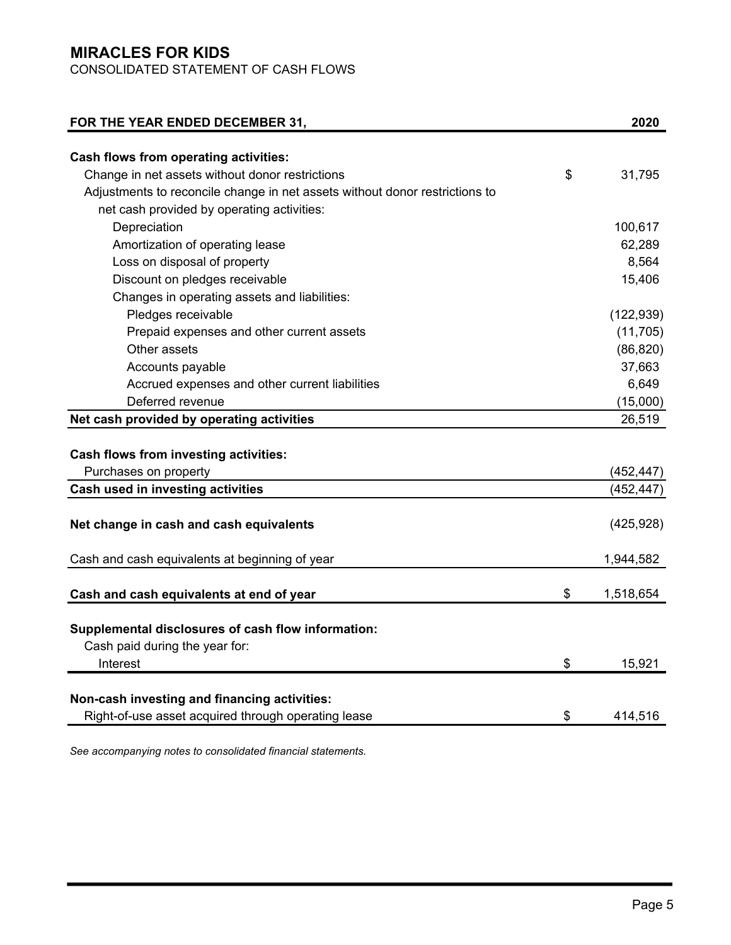CONSOLIDATED STATEMENT OF CASH FLOWS

| <b>Cash flows from operating activities:</b><br>Change in net assets without donor restrictions<br>\$<br>Adjustments to reconcile change in net assets without donor restrictions to<br>net cash provided by operating activities:<br>Depreciation<br>Amortization of operating lease<br>Loss on disposal of property<br>Discount on pledges receivable<br>Changes in operating assets and liabilities:<br>Pledges receivable<br>Prepaid expenses and other current assets<br>Other assets<br>Accounts payable<br>Accrued expenses and other current liabilities<br>Deferred revenue<br>Net cash provided by operating activities<br><b>Cash flows from investing activities:</b><br>Purchases on property<br>Cash used in investing activities<br>Net change in cash and cash equivalents<br>Cash and cash equivalents at beginning of year<br>Cash and cash equivalents at end of year<br>\$ | 31,795<br>100,617<br>62,289<br>8,564<br>15,406 |
|------------------------------------------------------------------------------------------------------------------------------------------------------------------------------------------------------------------------------------------------------------------------------------------------------------------------------------------------------------------------------------------------------------------------------------------------------------------------------------------------------------------------------------------------------------------------------------------------------------------------------------------------------------------------------------------------------------------------------------------------------------------------------------------------------------------------------------------------------------------------------------------------|------------------------------------------------|
|                                                                                                                                                                                                                                                                                                                                                                                                                                                                                                                                                                                                                                                                                                                                                                                                                                                                                                |                                                |
|                                                                                                                                                                                                                                                                                                                                                                                                                                                                                                                                                                                                                                                                                                                                                                                                                                                                                                |                                                |
|                                                                                                                                                                                                                                                                                                                                                                                                                                                                                                                                                                                                                                                                                                                                                                                                                                                                                                |                                                |
|                                                                                                                                                                                                                                                                                                                                                                                                                                                                                                                                                                                                                                                                                                                                                                                                                                                                                                |                                                |
|                                                                                                                                                                                                                                                                                                                                                                                                                                                                                                                                                                                                                                                                                                                                                                                                                                                                                                |                                                |
|                                                                                                                                                                                                                                                                                                                                                                                                                                                                                                                                                                                                                                                                                                                                                                                                                                                                                                |                                                |
|                                                                                                                                                                                                                                                                                                                                                                                                                                                                                                                                                                                                                                                                                                                                                                                                                                                                                                |                                                |
|                                                                                                                                                                                                                                                                                                                                                                                                                                                                                                                                                                                                                                                                                                                                                                                                                                                                                                |                                                |
|                                                                                                                                                                                                                                                                                                                                                                                                                                                                                                                                                                                                                                                                                                                                                                                                                                                                                                |                                                |
|                                                                                                                                                                                                                                                                                                                                                                                                                                                                                                                                                                                                                                                                                                                                                                                                                                                                                                | (122, 939)                                     |
|                                                                                                                                                                                                                                                                                                                                                                                                                                                                                                                                                                                                                                                                                                                                                                                                                                                                                                | (11, 705)                                      |
|                                                                                                                                                                                                                                                                                                                                                                                                                                                                                                                                                                                                                                                                                                                                                                                                                                                                                                | (86, 820)                                      |
|                                                                                                                                                                                                                                                                                                                                                                                                                                                                                                                                                                                                                                                                                                                                                                                                                                                                                                | 37,663                                         |
|                                                                                                                                                                                                                                                                                                                                                                                                                                                                                                                                                                                                                                                                                                                                                                                                                                                                                                | 6,649                                          |
|                                                                                                                                                                                                                                                                                                                                                                                                                                                                                                                                                                                                                                                                                                                                                                                                                                                                                                | (15,000)                                       |
|                                                                                                                                                                                                                                                                                                                                                                                                                                                                                                                                                                                                                                                                                                                                                                                                                                                                                                | 26,519                                         |
|                                                                                                                                                                                                                                                                                                                                                                                                                                                                                                                                                                                                                                                                                                                                                                                                                                                                                                |                                                |
|                                                                                                                                                                                                                                                                                                                                                                                                                                                                                                                                                                                                                                                                                                                                                                                                                                                                                                |                                                |
|                                                                                                                                                                                                                                                                                                                                                                                                                                                                                                                                                                                                                                                                                                                                                                                                                                                                                                | (452, 447)                                     |
|                                                                                                                                                                                                                                                                                                                                                                                                                                                                                                                                                                                                                                                                                                                                                                                                                                                                                                | (452, 447)                                     |
|                                                                                                                                                                                                                                                                                                                                                                                                                                                                                                                                                                                                                                                                                                                                                                                                                                                                                                | (425, 928)                                     |
|                                                                                                                                                                                                                                                                                                                                                                                                                                                                                                                                                                                                                                                                                                                                                                                                                                                                                                |                                                |
|                                                                                                                                                                                                                                                                                                                                                                                                                                                                                                                                                                                                                                                                                                                                                                                                                                                                                                | 1,944,582                                      |
|                                                                                                                                                                                                                                                                                                                                                                                                                                                                                                                                                                                                                                                                                                                                                                                                                                                                                                | 1,518,654                                      |
|                                                                                                                                                                                                                                                                                                                                                                                                                                                                                                                                                                                                                                                                                                                                                                                                                                                                                                |                                                |
| Supplemental disclosures of cash flow information:                                                                                                                                                                                                                                                                                                                                                                                                                                                                                                                                                                                                                                                                                                                                                                                                                                             |                                                |
| Cash paid during the year for:                                                                                                                                                                                                                                                                                                                                                                                                                                                                                                                                                                                                                                                                                                                                                                                                                                                                 |                                                |
| Interest<br>\$                                                                                                                                                                                                                                                                                                                                                                                                                                                                                                                                                                                                                                                                                                                                                                                                                                                                                 | 15,921                                         |
|                                                                                                                                                                                                                                                                                                                                                                                                                                                                                                                                                                                                                                                                                                                                                                                                                                                                                                |                                                |
| Non-cash investing and financing activities:<br>Right-of-use asset acquired through operating lease<br>\$                                                                                                                                                                                                                                                                                                                                                                                                                                                                                                                                                                                                                                                                                                                                                                                      | 414,516                                        |
|                                                                                                                                                                                                                                                                                                                                                                                                                                                                                                                                                                                                                                                                                                                                                                                                                                                                                                |                                                |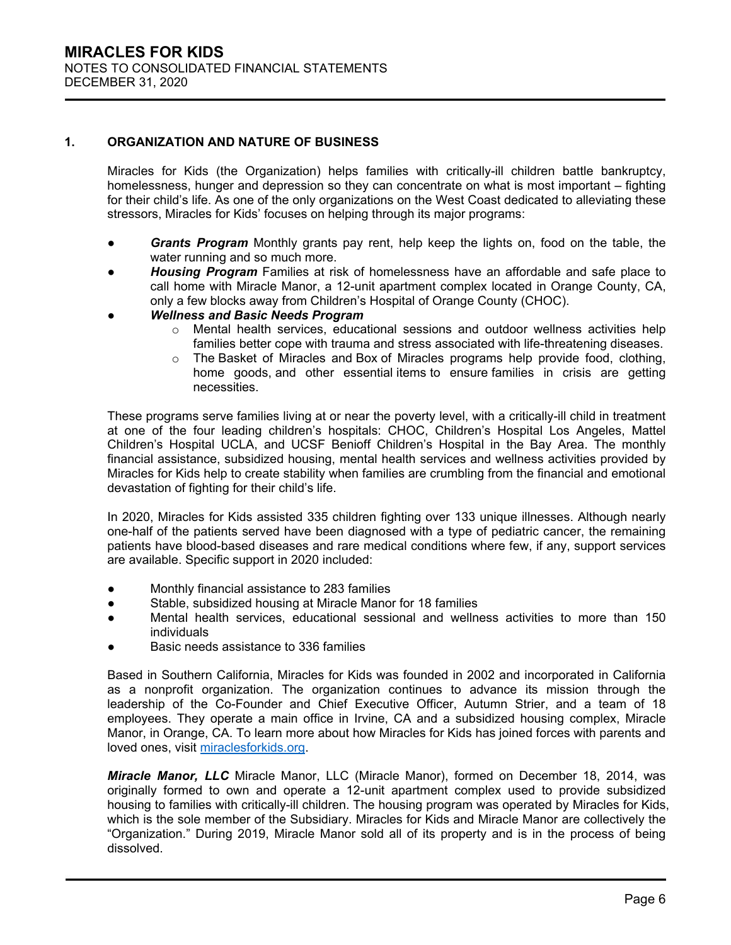#### **1. ORGANIZATION AND NATURE OF BUSINESS**

Miracles for Kids (the Organization) helps families with critically-ill children battle bankruptcy, homelessness, hunger and depression so they can concentrate on what is most important – fighting for their child's life. As one of the only organizations on the West Coast dedicated to alleviating these stressors, Miracles for Kids' focuses on helping through its major programs:

- **Grants Program** Monthly grants pay rent, help keep the lights on, food on the table, the water running and so much more.
- *Housing Program* Families at risk of homelessness have an affordable and safe place to call home with Miracle Manor, a 12-unit apartment complex located in Orange County, CA, only a few blocks away from Children's Hospital of Orange County (CHOC).
- *Wellness and Basic Needs Program*
	- o Mental health services, educational sessions and outdoor wellness activities help families better cope with trauma and stress associated with life-threatening diseases.
	- $\circ$  The Basket of Miracles and Box of Miracles programs help provide food, clothing, home goods, and other essential items to ensure families in crisis are getting necessities.

These programs serve families living at or near the poverty level, with a critically-ill child in treatment at one of the four leading children's hospitals: CHOC, Children's Hospital Los Angeles, Mattel Children's Hospital UCLA, and UCSF Benioff Children's Hospital in the Bay Area. The monthly financial assistance, subsidized housing, mental health services and wellness activities provided by Miracles for Kids help to create stability when families are crumbling from the financial and emotional devastation of fighting for their child's life.

In 2020, Miracles for Kids assisted 335 children fighting over 133 unique illnesses. Although nearly one-half of the patients served have been diagnosed with a type of pediatric cancer, the remaining patients have blood-based diseases and rare medical conditions where few, if any, support services are available. Specific support in 2020 included:

- Monthly financial assistance to 283 families
- Stable, subsidized housing at Miracle Manor for 18 families<br>● Mental health services educational sessional and wellne
- Mental health services, educational sessional and wellness activities to more than 150 individuals
- Basic needs assistance to 336 families

Based in Southern California, Miracles for Kids was founded in 2002 and incorporated in California as a nonprofit organization. The organization continues to advance its mission through the leadership of the Co-Founder and Chief Executive Officer, Autumn Strier, and a team of 18 employees. They operate a main office in Irvine, CA and a subsidized housing complex, Miracle Manor, in Orange, CA. To learn more about how Miracles for Kids has joined forces with parents and loved ones, visit [miraclesforkids.org.](http://www.miraclesforkids.org/)

*Miracle Manor, LLC* Miracle Manor, LLC (Miracle Manor), formed on December 18, 2014, was originally formed to own and operate a 12-unit apartment complex used to provide subsidized housing to families with critically-ill children. The housing program was operated by Miracles for Kids, which is the sole member of the Subsidiary. Miracles for Kids and Miracle Manor are collectively the "Organization." During 2019, Miracle Manor sold all of its property and is in the process of being dissolved.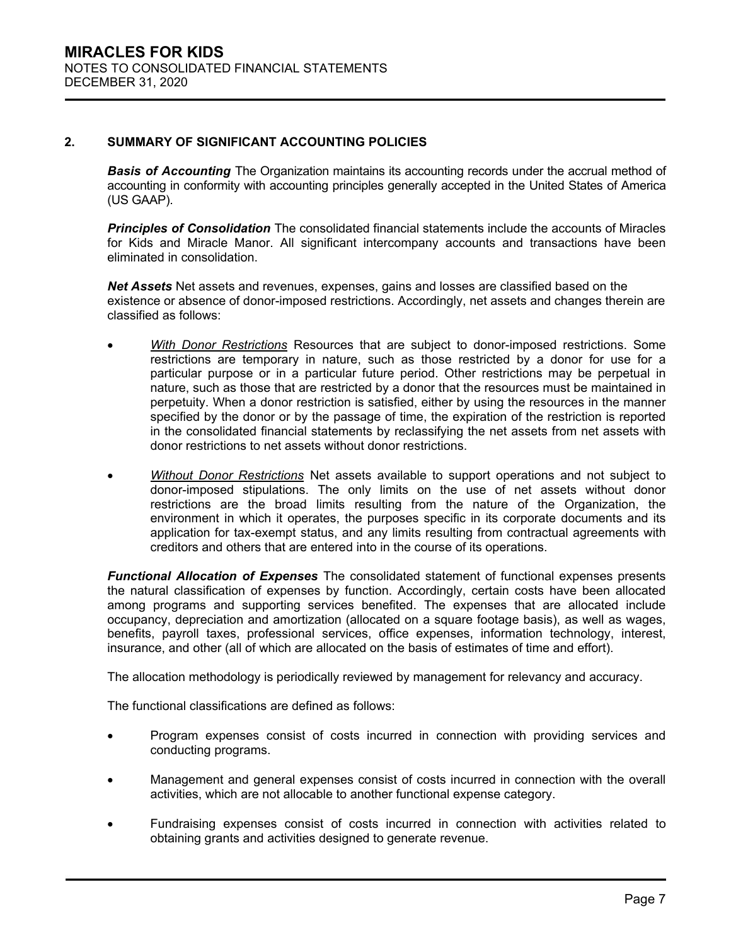#### **2. SUMMARY OF SIGNIFICANT ACCOUNTING POLICIES**

**Basis of Accounting** The Organization maintains its accounting records under the accrual method of accounting in conformity with accounting principles generally accepted in the United States of America (US GAAP).

*Principles of Consolidation* The consolidated financial statements include the accounts of Miracles for Kids and Miracle Manor. All significant intercompany accounts and transactions have been eliminated in consolidation.

*Net Assets* Net assets and revenues, expenses, gains and losses are classified based on the existence or absence of donor-imposed restrictions. Accordingly, net assets and changes therein are classified as follows:

- *With Donor Restrictions* Resources that are subject to donor-imposed restrictions. Some restrictions are temporary in nature, such as those restricted by a donor for use for a particular purpose or in a particular future period. Other restrictions may be perpetual in nature, such as those that are restricted by a donor that the resources must be maintained in perpetuity. When a donor restriction is satisfied, either by using the resources in the manner specified by the donor or by the passage of time, the expiration of the restriction is reported in the consolidated financial statements by reclassifying the net assets from net assets with donor restrictions to net assets without donor restrictions.
- *Without Donor Restrictions* Net assets available to support operations and not subject to donor-imposed stipulations. The only limits on the use of net assets without donor restrictions are the broad limits resulting from the nature of the Organization, the environment in which it operates, the purposes specific in its corporate documents and its application for tax-exempt status, and any limits resulting from contractual agreements with creditors and others that are entered into in the course of its operations.

*Functional Allocation of Expenses* The consolidated statement of functional expenses presents the natural classification of expenses by function. Accordingly, certain costs have been allocated among programs and supporting services benefited. The expenses that are allocated include occupancy, depreciation and amortization (allocated on a square footage basis), as well as wages, benefits, payroll taxes, professional services, office expenses, information technology, interest, insurance, and other (all of which are allocated on the basis of estimates of time and effort).

The allocation methodology is periodically reviewed by management for relevancy and accuracy.

The functional classifications are defined as follows:

- Program expenses consist of costs incurred in connection with providing services and conducting programs.
- Management and general expenses consist of costs incurred in connection with the overall activities, which are not allocable to another functional expense category.
- Fundraising expenses consist of costs incurred in connection with activities related to obtaining grants and activities designed to generate revenue.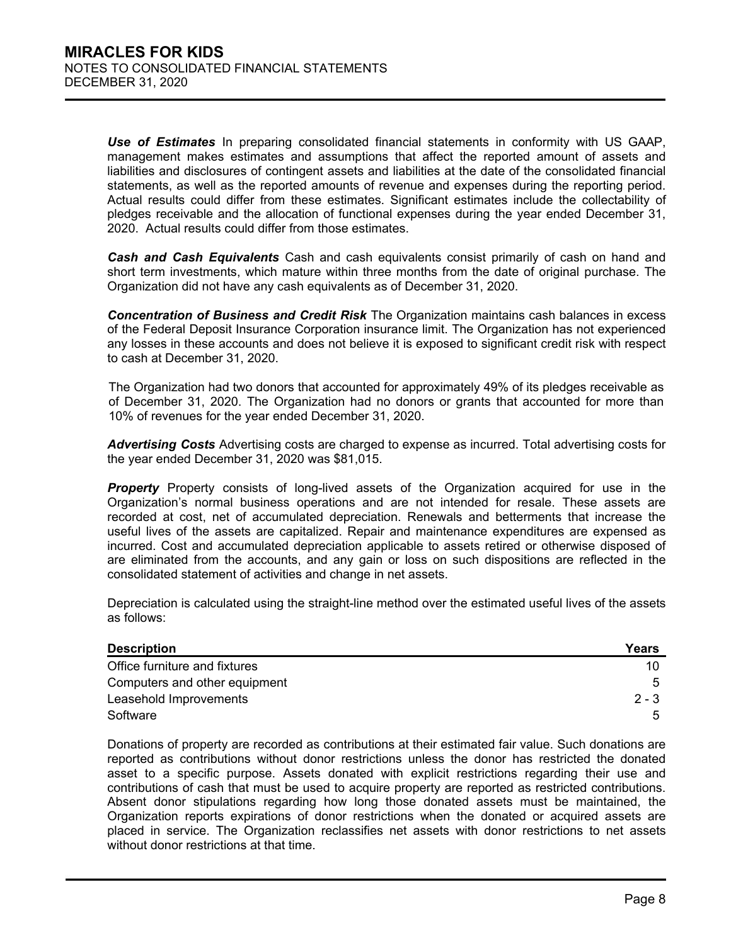*Use of Estimates* In preparing consolidated financial statements in conformity with US GAAP, management makes estimates and assumptions that affect the reported amount of assets and liabilities and disclosures of contingent assets and liabilities at the date of the consolidated financial statements, as well as the reported amounts of revenue and expenses during the reporting period. Actual results could differ from these estimates. Significant estimates include the collectability of pledges receivable and the allocation of functional expenses during the year ended December 31, 2020. Actual results could differ from those estimates.

*Cash and Cash Equivalents* Cash and cash equivalents consist primarily of cash on hand and short term investments, which mature within three months from the date of original purchase. The Organization did not have any cash equivalents as of December 31, 2020.

*Concentration of Business and Credit Risk* The Organization maintains cash balances in excess of the Federal Deposit Insurance Corporation insurance limit. The Organization has not experienced any losses in these accounts and does not believe it is exposed to significant credit risk with respect to cash at December 31, 2020.

The Organization had two donors that accounted for approximately 49% of its pledges receivable as of December 31, 2020. The Organization had no donors or grants that accounted for more than 10% of revenues for the year ended December 31, 2020.

*Advertising Costs* Advertising costs are charged to expense as incurred. Total advertising costs for the year ended December 31, 2020 was \$81,015.

**Property** Property consists of long-lived assets of the Organization acquired for use in the Organization's normal business operations and are not intended for resale. These assets are recorded at cost, net of accumulated depreciation. Renewals and betterments that increase the useful lives of the assets are capitalized. Repair and maintenance expenditures are expensed as incurred. Cost and accumulated depreciation applicable to assets retired or otherwise disposed of are eliminated from the accounts, and any gain or loss on such dispositions are reflected in the consolidated statement of activities and change in net assets.

Depreciation is calculated using the straight-line method over the estimated useful lives of the assets as follows:

| <b>Description</b>            | Years   |
|-------------------------------|---------|
| Office furniture and fixtures | 10      |
| Computers and other equipment |         |
| Leasehold Improvements        | $2 - 3$ |
| Software                      |         |

Donations of property are recorded as contributions at their estimated fair value. Such donations are reported as contributions without donor restrictions unless the donor has restricted the donated asset to a specific purpose. Assets donated with explicit restrictions regarding their use and contributions of cash that must be used to acquire property are reported as restricted contributions. Absent donor stipulations regarding how long those donated assets must be maintained, the Organization reports expirations of donor restrictions when the donated or acquired assets are placed in service. The Organization reclassifies net assets with donor restrictions to net assets without donor restrictions at that time.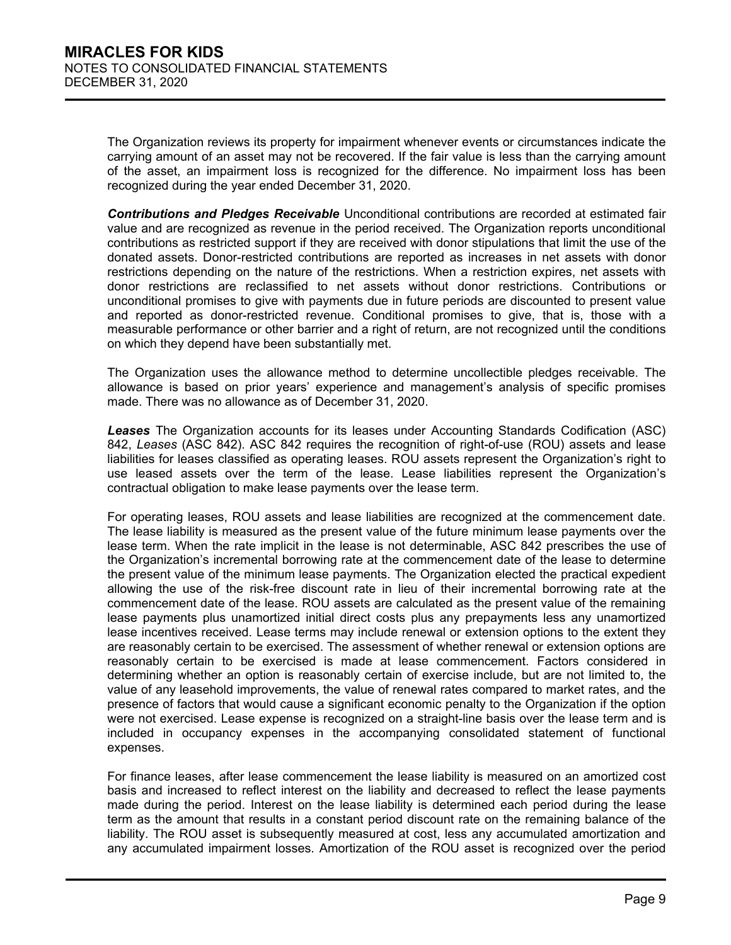The Organization reviews its property for impairment whenever events or circumstances indicate the carrying amount of an asset may not be recovered. If the fair value is less than the carrying amount of the asset, an impairment loss is recognized for the difference. No impairment loss has been recognized during the year ended December 31, 2020.

*Contributions and Pledges Receivable* Unconditional contributions are recorded at estimated fair value and are recognized as revenue in the period received. The Organization reports unconditional contributions as restricted support if they are received with donor stipulations that limit the use of the donated assets. Donor-restricted contributions are reported as increases in net assets with donor restrictions depending on the nature of the restrictions. When a restriction expires, net assets with donor restrictions are reclassified to net assets without donor restrictions. Contributions or unconditional promises to give with payments due in future periods are discounted to present value and reported as donor-restricted revenue. Conditional promises to give, that is, those with a measurable performance or other barrier and a right of return, are not recognized until the conditions on which they depend have been substantially met.

The Organization uses the allowance method to determine uncollectible pledges receivable. The allowance is based on prior years' experience and management's analysis of specific promises made. There was no allowance as of December 31, 2020.

*Leases* The Organization accounts for its leases under Accounting Standards Codification (ASC) 842, *Leases* (ASC 842). ASC 842 requires the recognition of right-of-use (ROU) assets and lease liabilities for leases classified as operating leases. ROU assets represent the Organization's right to use leased assets over the term of the lease. Lease liabilities represent the Organization's contractual obligation to make lease payments over the lease term.

For operating leases, ROU assets and lease liabilities are recognized at the commencement date. The lease liability is measured as the present value of the future minimum lease payments over the lease term. When the rate implicit in the lease is not determinable, ASC 842 prescribes the use of the Organization's incremental borrowing rate at the commencement date of the lease to determine the present value of the minimum lease payments. The Organization elected the practical expedient allowing the use of the risk-free discount rate in lieu of their incremental borrowing rate at the commencement date of the lease. ROU assets are calculated as the present value of the remaining lease payments plus unamortized initial direct costs plus any prepayments less any unamortized lease incentives received. Lease terms may include renewal or extension options to the extent they are reasonably certain to be exercised. The assessment of whether renewal or extension options are reasonably certain to be exercised is made at lease commencement. Factors considered in determining whether an option is reasonably certain of exercise include, but are not limited to, the value of any leasehold improvements, the value of renewal rates compared to market rates, and the presence of factors that would cause a significant economic penalty to the Organization if the option were not exercised. Lease expense is recognized on a straight-line basis over the lease term and is included in occupancy expenses in the accompanying consolidated statement of functional expenses.

For finance leases, after lease commencement the lease liability is measured on an amortized cost basis and increased to reflect interest on the liability and decreased to reflect the lease payments made during the period. Interest on the lease liability is determined each period during the lease term as the amount that results in a constant period discount rate on the remaining balance of the liability. The ROU asset is subsequently measured at cost, less any accumulated amortization and any accumulated impairment losses. Amortization of the ROU asset is recognized over the period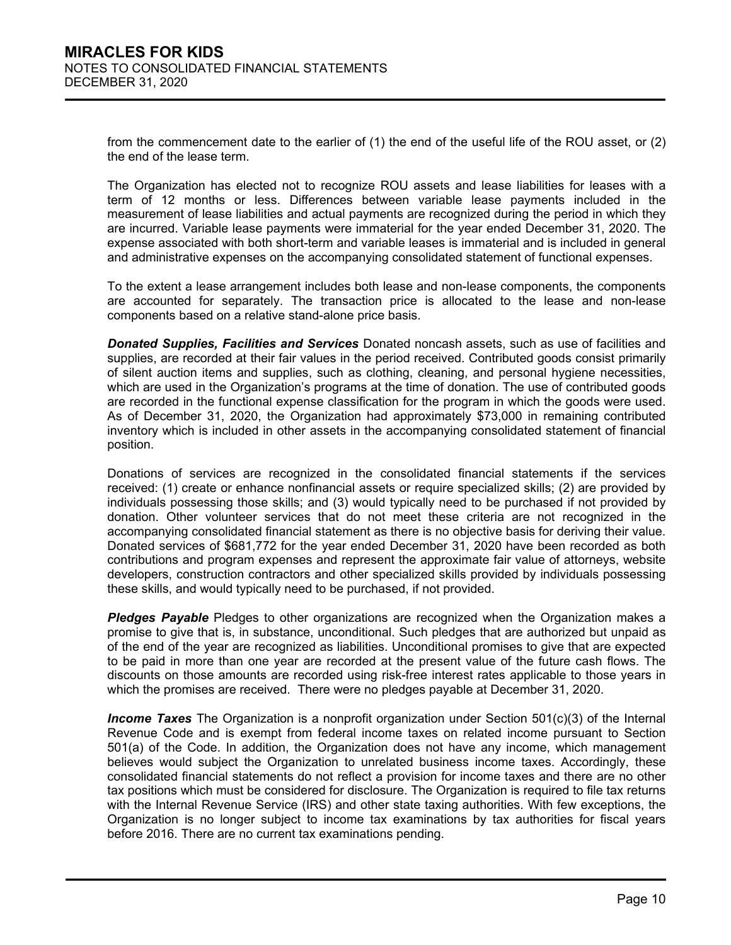from the commencement date to the earlier of (1) the end of the useful life of the ROU asset, or (2) the end of the lease term.

The Organization has elected not to recognize ROU assets and lease liabilities for leases with a term of 12 months or less. Differences between variable lease payments included in the measurement of lease liabilities and actual payments are recognized during the period in which they are incurred. Variable lease payments were immaterial for the year ended December 31, 2020. The expense associated with both short-term and variable leases is immaterial and is included in general and administrative expenses on the accompanying consolidated statement of functional expenses.

To the extent a lease arrangement includes both lease and non-lease components, the components are accounted for separately. The transaction price is allocated to the lease and non-lease components based on a relative stand-alone price basis.

*Donated Supplies, Facilities and Services* Donated noncash assets, such as use of facilities and supplies, are recorded at their fair values in the period received. Contributed goods consist primarily of silent auction items and supplies, such as clothing, cleaning, and personal hygiene necessities, which are used in the Organization's programs at the time of donation. The use of contributed goods are recorded in the functional expense classification for the program in which the goods were used. As of December 31, 2020, the Organization had approximately \$73,000 in remaining contributed inventory which is included in other assets in the accompanying consolidated statement of financial position.

Donations of services are recognized in the consolidated financial statements if the services received: (1) create or enhance nonfinancial assets or require specialized skills; (2) are provided by individuals possessing those skills; and (3) would typically need to be purchased if not provided by donation. Other volunteer services that do not meet these criteria are not recognized in the accompanying consolidated financial statement as there is no objective basis for deriving their value. Donated services of \$681,772 for the year ended December 31, 2020 have been recorded as both contributions and program expenses and represent the approximate fair value of attorneys, website developers, construction contractors and other specialized skills provided by individuals possessing these skills, and would typically need to be purchased, if not provided.

*Pledges Payable* Pledges to other organizations are recognized when the Organization makes a promise to give that is, in substance, unconditional. Such pledges that are authorized but unpaid as of the end of the year are recognized as liabilities. Unconditional promises to give that are expected to be paid in more than one year are recorded at the present value of the future cash flows. The discounts on those amounts are recorded using risk-free interest rates applicable to those years in which the promises are received. There were no pledges payable at December 31, 2020.

*Income Taxes* The Organization is a nonprofit organization under Section 501(c)(3) of the Internal Revenue Code and is exempt from federal income taxes on related income pursuant to Section 501(a) of the Code. In addition, the Organization does not have any income, which management believes would subject the Organization to unrelated business income taxes. Accordingly, these consolidated financial statements do not reflect a provision for income taxes and there are no other tax positions which must be considered for disclosure. The Organization is required to file tax returns with the Internal Revenue Service (IRS) and other state taxing authorities. With few exceptions, the Organization is no longer subject to income tax examinations by tax authorities for fiscal years before 2016. There are no current tax examinations pending.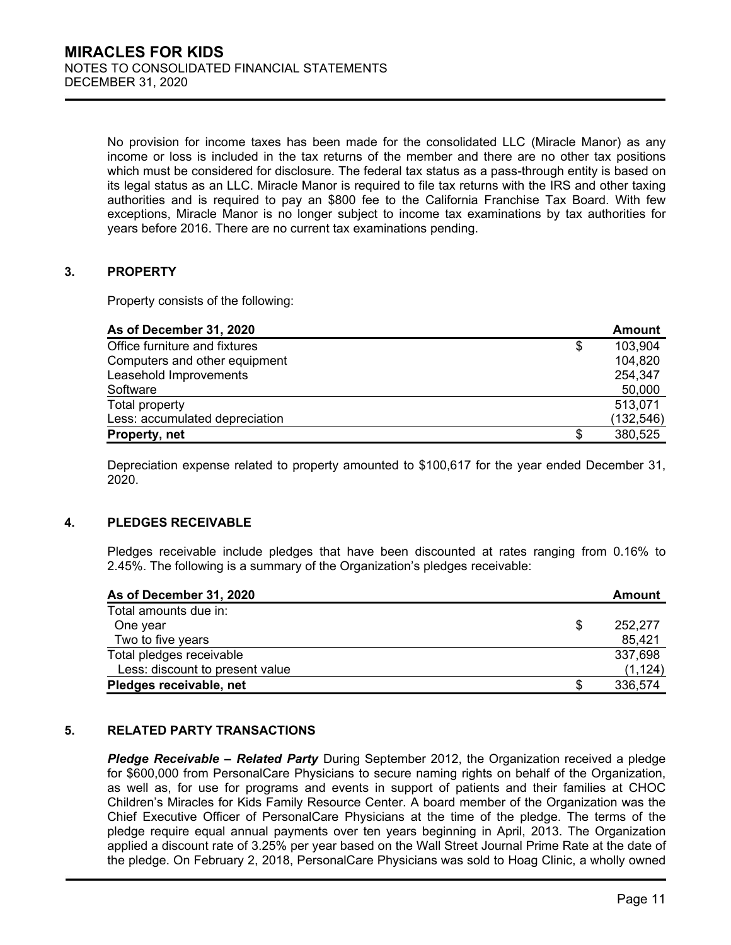No provision for income taxes has been made for the consolidated LLC (Miracle Manor) as any income or loss is included in the tax returns of the member and there are no other tax positions which must be considered for disclosure. The federal tax status as a pass-through entity is based on its legal status as an LLC. Miracle Manor is required to file tax returns with the IRS and other taxing authorities and is required to pay an \$800 fee to the California Franchise Tax Board. With few exceptions, Miracle Manor is no longer subject to income tax examinations by tax authorities for years before 2016. There are no current tax examinations pending.

### **3. PROPERTY**

Property consists of the following:

| As of December 31, 2020        |   | Amount     |
|--------------------------------|---|------------|
| Office furniture and fixtures  | S | 103,904    |
| Computers and other equipment  |   | 104,820    |
| Leasehold Improvements         |   | 254,347    |
| Software                       |   | 50,000     |
| Total property                 |   | 513,071    |
| Less: accumulated depreciation |   | (132, 546) |
| Property, net                  |   | 380,525    |

Depreciation expense related to property amounted to \$100,617 for the year ended December 31, 2020.

#### **4. PLEDGES RECEIVABLE**

Pledges receivable include pledges that have been discounted at rates ranging from 0.16% to 2.45%. The following is a summary of the Organization's pledges receivable:

| As of December 31, 2020         | Amount   |
|---------------------------------|----------|
| Total amounts due in:           |          |
| One year                        | 252,277  |
| Two to five years               | 85,421   |
| Total pledges receivable        | 337,698  |
| Less: discount to present value | (1, 124) |
| Pledges receivable, net         | 336,574  |

#### **5. RELATED PARTY TRANSACTIONS**

*Pledge Receivable – Related Party* During September 2012, the Organization received a pledge for \$600,000 from PersonalCare Physicians to secure naming rights on behalf of the Organization, as well as, for use for programs and events in support of patients and their families at CHOC Children's Miracles for Kids Family Resource Center. A board member of the Organization was the Chief Executive Officer of PersonalCare Physicians at the time of the pledge. The terms of the pledge require equal annual payments over ten years beginning in April, 2013. The Organization applied a discount rate of 3.25% per year based on the Wall Street Journal Prime Rate at the date of the pledge. On February 2, 2018, PersonalCare Physicians was sold to Hoag Clinic, a wholly owned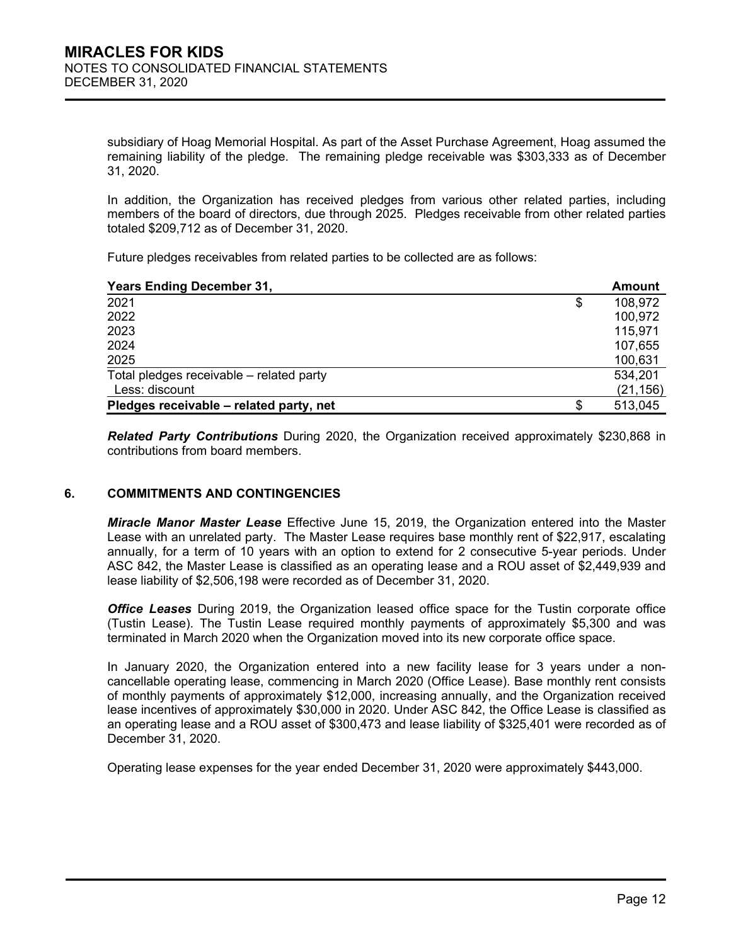subsidiary of Hoag Memorial Hospital. As part of the Asset Purchase Agreement, Hoag assumed the remaining liability of the pledge. The remaining pledge receivable was \$303,333 as of December 31, 2020.

In addition, the Organization has received pledges from various other related parties, including members of the board of directors, due through 2025. Pledges receivable from other related parties totaled \$209,712 as of December 31, 2020.

Future pledges receivables from related parties to be collected are as follows:

| <b>Years Ending December 31,</b>         |    | <b>Amount</b> |
|------------------------------------------|----|---------------|
| 2021                                     | S  | 108,972       |
| 2022                                     |    | 100,972       |
| 2023                                     |    | 115,971       |
| 2024                                     |    | 107,655       |
| 2025                                     |    | 100,631       |
| Total pledges receivable – related party |    | 534,201       |
| Less: discount                           |    | (21, 156)     |
| Pledges receivable - related party, net  | \$ | 513,045       |

*Related Party Contributions* During 2020, the Organization received approximately \$230,868 in contributions from board members.

#### **6. COMMITMENTS AND CONTINGENCIES**

*Miracle Manor Master Lease* Effective June 15, 2019, the Organization entered into the Master Lease with an unrelated party. The Master Lease requires base monthly rent of \$22,917, escalating annually, for a term of 10 years with an option to extend for 2 consecutive 5-year periods. Under ASC 842, the Master Lease is classified as an operating lease and a ROU asset of \$2,449,939 and lease liability of \$2,506,198 were recorded as of December 31, 2020.

*Office Leases* During 2019, the Organization leased office space for the Tustin corporate office (Tustin Lease). The Tustin Lease required monthly payments of approximately \$5,300 and was terminated in March 2020 when the Organization moved into its new corporate office space.

In January 2020, the Organization entered into a new facility lease for 3 years under a noncancellable operating lease, commencing in March 2020 (Office Lease). Base monthly rent consists of monthly payments of approximately \$12,000, increasing annually, and the Organization received lease incentives of approximately \$30,000 in 2020. Under ASC 842, the Office Lease is classified as an operating lease and a ROU asset of \$300,473 and lease liability of \$325,401 were recorded as of December 31, 2020.

Operating lease expenses for the year ended December 31, 2020 were approximately \$443,000.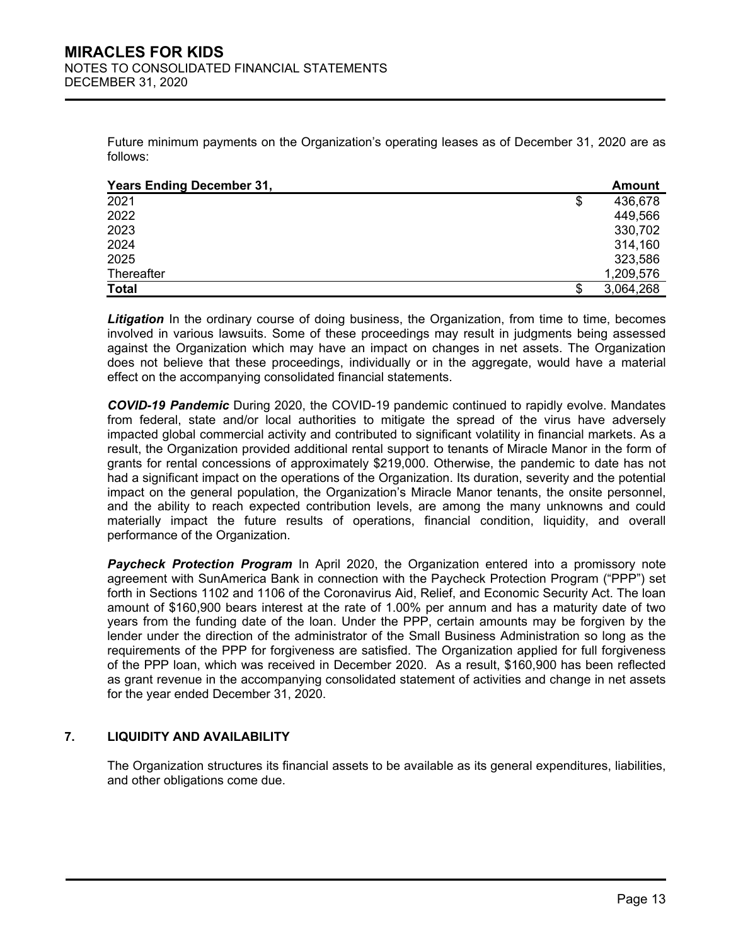Future minimum payments on the Organization's operating leases as of December 31, 2020 are as follows:

| <b>Years Ending December 31,</b> | Amount        |
|----------------------------------|---------------|
| 2021                             | \$<br>436,678 |
| 2022                             | 449,566       |
| 2023                             | 330,702       |
| 2024                             | 314,160       |
| 2025                             | 323,586       |
| Thereafter                       | 1,209,576     |
| <b>Total</b>                     | 3,064,268     |

**Litigation** In the ordinary course of doing business, the Organization, from time to time, becomes involved in various lawsuits. Some of these proceedings may result in judgments being assessed against the Organization which may have an impact on changes in net assets. The Organization does not believe that these proceedings, individually or in the aggregate, would have a material effect on the accompanying consolidated financial statements.

*COVID-19 Pandemic* During 2020, the COVID-19 pandemic continued to rapidly evolve. Mandates from federal, state and/or local authorities to mitigate the spread of the virus have adversely impacted global commercial activity and contributed to significant volatility in financial markets. As a result, the Organization provided additional rental support to tenants of Miracle Manor in the form of grants for rental concessions of approximately \$219,000. Otherwise, the pandemic to date has not had a significant impact on the operations of the Organization. Its duration, severity and the potential impact on the general population, the Organization's Miracle Manor tenants, the onsite personnel, and the ability to reach expected contribution levels, are among the many unknowns and could materially impact the future results of operations, financial condition, liquidity, and overall performance of the Organization.

**Paycheck Protection Program** In April 2020, the Organization entered into a promissory note agreement with SunAmerica Bank in connection with the Paycheck Protection Program ("PPP") set forth in Sections 1102 and 1106 of the Coronavirus Aid, Relief, and Economic Security Act. The loan amount of \$160,900 bears interest at the rate of 1.00% per annum and has a maturity date of two years from the funding date of the loan. Under the PPP, certain amounts may be forgiven by the lender under the direction of the administrator of the Small Business Administration so long as the requirements of the PPP for forgiveness are satisfied. The Organization applied for full forgiveness of the PPP loan, which was received in December 2020. As a result, \$160,900 has been reflected as grant revenue in the accompanying consolidated statement of activities and change in net assets for the year ended December 31, 2020.

### **7. LIQUIDITY AND AVAILABILITY**

The Organization structures its financial assets to be available as its general expenditures, liabilities, and other obligations come due.